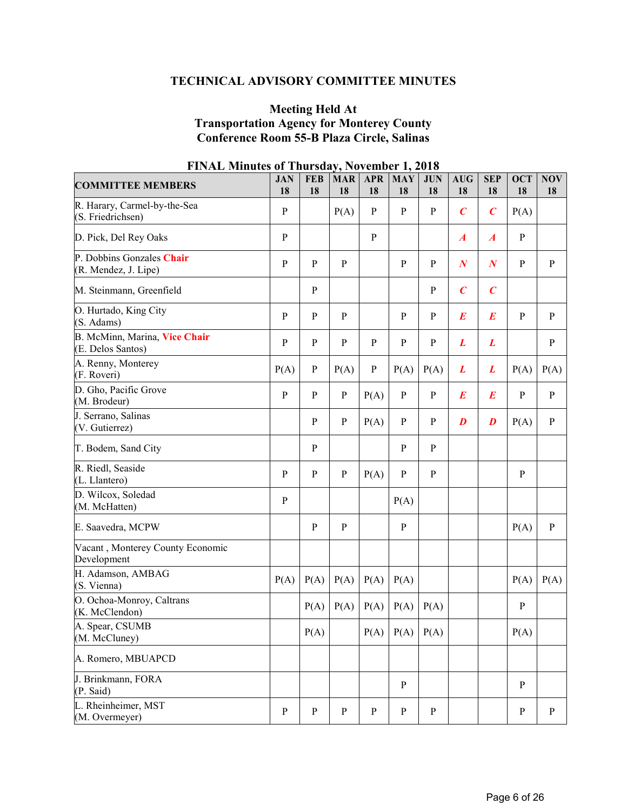# **TECHNICAL ADVISORY COMMITTEE MINUTES**

#### **Meeting Held At Transportation Agency for Monterey County Conference Room 55-B Plaza Circle, Salinas**

| <b>COMMITTEE MEMBERS</b>                           | <b>JAN</b><br>18 | <b>FEB</b><br>18 | <b>MAR</b><br>18 | <b>APR</b><br>18 | <b>MAY</b><br>18 | <b>JUN</b><br>18 | <b>AUG</b><br>18 | <b>SEP</b><br>18 | <b>OCT</b><br>18 | NOV<br>18    |
|----------------------------------------------------|------------------|------------------|------------------|------------------|------------------|------------------|------------------|------------------|------------------|--------------|
| R. Harary, Carmel-by-the-Sea<br>(S. Friedrichsen)  | ${\bf P}$        |                  | P(A)             | $\, {\bf p}$     | $\, {\bf P}$     | ${\bf P}$        | $\overline{C}$   | $\boldsymbol{C}$ | P(A)             |              |
| D. Pick, Del Rey Oaks                              | $\mathbf{P}$     |                  |                  | $\mathbf{P}$     |                  |                  | $\boldsymbol{A}$ | $\boldsymbol{A}$ | $\, {\bf p}$     |              |
| P. Dobbins Gonzales Chair<br>(R. Mendez, J. Lipe)  | $\mathbf{P}$     | $\mathbf{P}$     | $\mathbf{P}$     |                  | $\mathbf{P}$     | $\mathbf{P}$     | $\boldsymbol{N}$ | $\boldsymbol{N}$ | $\mathbf{P}$     | $\mathbf{P}$ |
| M. Steinmann, Greenfield                           |                  | $\, {\bf p}$     |                  |                  |                  | $\mathbf{P}$     | $\overline{C}$   | $\boldsymbol{C}$ |                  |              |
| O. Hurtado, King City<br>(S. Adams)                | $\mathbf{P}$     | $\, {\bf P}$     | $\mathbf{P}$     |                  | $\mathbf{P}$     | $\mathbf{P}$     | $\boldsymbol{E}$ | $\boldsymbol{E}$ | ${\bf P}$        | P            |
| B. McMinn, Marina, Vice Chair<br>(E. Delos Santos) | ${\bf P}$        | $\, {\bf p}$     | $\mathbf{P}$     | $\mathbf{P}$     | $\, {\bf p}$     | ${\bf P}$        | L                | L                |                  | ${\bf P}$    |
| A. Renny, Monterey<br>(F. Roveri)                  | P(A)             | $\mathbf{P}$     | P(A)             | $\mathbf{P}$     | P(A)             | P(A)             | L                | L                | P(A)             | P(A)         |
| D. Gho, Pacific Grove<br>(M. Brodeur)              | $\mathbf{P}$     | $\mathbf{P}$     | $\, {\bf P}$     | P(A)             | $\mathbf{P}$     | ${\bf P}$        | $\bm E$          | $\bm E$          | $\mathbf{P}$     | ${\bf P}$    |
| J. Serrano, Salinas<br>(V. Gutierrez)              |                  | $\mathbf{P}$     | $\mathbf{P}$     | P(A)             | $\, {\bf P}$     | $\mathbf{P}$     | $\boldsymbol{D}$ | $\boldsymbol{D}$ | P(A)             | $\mathbf{P}$ |
| T. Bodem, Sand City                                |                  | $\mathbf{P}$     |                  |                  | $\, {\bf P}$     | ${\bf P}$        |                  |                  |                  |              |
| R. Riedl, Seaside<br>(L. Llantero)                 | ${\bf P}$        | $\, {\bf P}$     | ${\bf P}$        | P(A)             | $\, {\bf P}$     | $\, {\bf p}$     |                  |                  | ${\bf P}$        |              |
| D. Wilcox, Soledad<br>(M. McHatten)                | $\mathbf{P}$     |                  |                  |                  | P(A)             |                  |                  |                  |                  |              |
| E. Saavedra, MCPW                                  |                  | $\mathbf{P}$     | $\mathbf{P}$     |                  | $\mathbf{P}$     |                  |                  |                  | P(A)             | $\mathbf{P}$ |
| Vacant, Monterey County Economic<br>Development    |                  |                  |                  |                  |                  |                  |                  |                  |                  |              |
| H. Adamson, AMBAG<br>(S. Vienna)                   | P(A)             | P(A)             | P(A)             | P(A)             | P(A)             |                  |                  |                  | P(A)             | P(A)         |
| O. Ochoa-Monroy, Caltrans<br>(K. McClendon)        |                  | P(A)             | P(A)             | P(A)             | P(A)             | P(A)             |                  |                  | $\, {\bf P}$     |              |
| A. Spear, CSUMB<br>(M. McCluney)                   |                  | P(A)             |                  | P(A)             | $P(A)$ $P(A)$    |                  |                  |                  | P(A)             |              |
| A. Romero, MBUAPCD                                 |                  |                  |                  |                  |                  |                  |                  |                  |                  |              |
| J. Brinkmann, FORA<br>(P. Said)                    |                  |                  |                  |                  | $\mathbf{P}$     |                  |                  |                  | $\, {\bf p}$     |              |
| L. Rheinheimer, MST<br>(M. Overmeyer)              | ${\bf P}$        | $\, {\bf P}$     | $\mathbf{P}$     | $\mathbf{P}$     | ${\bf P}$        | $\mathbf{P}$     |                  |                  | ${\bf P}$        | $\mathbf{P}$ |

## **FINAL Minutes of Thursday, November 1, 2018**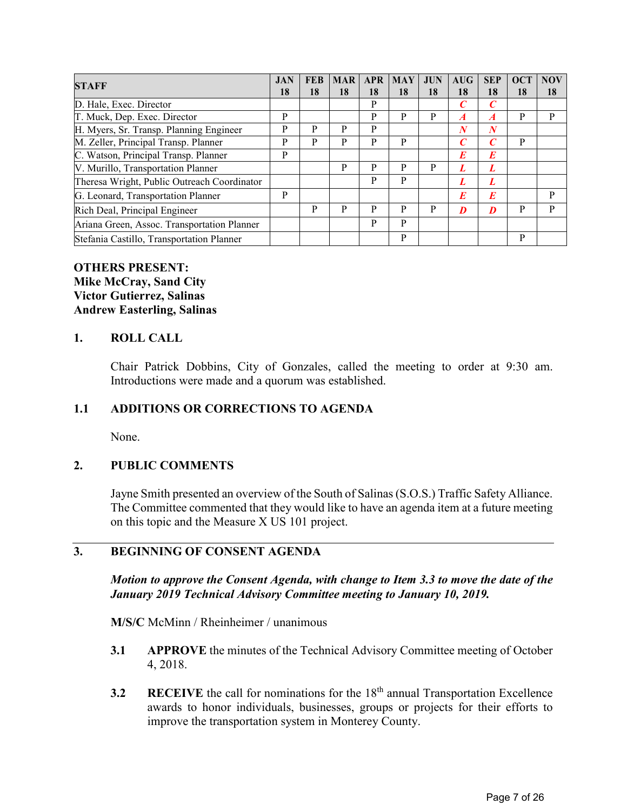| <b>STAFF</b>                                | <b>JAN</b> | <b>FEB</b> | <b>MAR</b> | <b>APR</b> | <b>MAY</b> | <b>JUN</b> | AIIG             | <b>SEP</b>       | <b>OCT</b> | <b>NOV</b> |
|---------------------------------------------|------------|------------|------------|------------|------------|------------|------------------|------------------|------------|------------|
|                                             | 18         | 18         | 18         | 18         | 18         | 18         | 18               | 18               | 18         | 18         |
| D. Hale, Exec. Director                     |            |            |            | P          |            |            | C                | C                |            |            |
| T. Muck, Dep. Exec. Director                | P          |            |            | P          | P          | P          | $\boldsymbol{A}$ | $\boldsymbol{A}$ | P          | P          |
| H. Myers, Sr. Transp. Planning Engineer     | P          | P          | P          | P          |            |            | N                | $\boldsymbol{N}$ |            |            |
| M. Zeller, Principal Transp. Planner        | P          | P          | P          | P          | P          |            | C                | $\mathcal C$     | P          |            |
| C. Watson, Principal Transp. Planner        | P          |            |            |            |            |            | E                | E                |            |            |
| V. Murillo, Transportation Planner          |            |            | P          | P          | P          | P          |                  |                  |            |            |
| Theresa Wright, Public Outreach Coordinator |            |            |            | P          | P          |            | L                | L                |            |            |
| G. Leonard, Transportation Planner          | P          |            |            |            |            |            | E                | E                |            | P          |
| Rich Deal, Principal Engineer               |            | P          | P          | P          | P          | P          | D                | D                | P          | P          |
| Ariana Green, Assoc. Transportation Planner |            |            |            | P          | P          |            |                  |                  |            |            |
| Stefania Castillo, Transportation Planner   |            |            |            |            | P          |            |                  |                  | P          |            |

#### **OTHERS PRESENT: Mike McCray, Sand City Victor Gutierrez, Salinas Andrew Easterling, Salinas**

#### **1. ROLL CALL**

Chair Patrick Dobbins, City of Gonzales, called the meeting to order at 9:30 am. Introductions were made and a quorum was established.

### **1.1 ADDITIONS OR CORRECTIONS TO AGENDA**

None.

### **2. PUBLIC COMMENTS**

Jayne Smith presented an overview of the South of Salinas (S.O.S.) Traffic Safety Alliance. The Committee commented that they would like to have an agenda item at a future meeting on this topic and the Measure X US 101 project.

### **3. BEGINNING OF CONSENT AGENDA**

*Motion to approve the Consent Agenda, with change to Item 3.3 to move the date of the January 2019 Technical Advisory Committee meeting to January 10, 2019.* 

**M/S/C** McMinn / Rheinheimer / unanimous

- **3.1 APPROVE** the minutes of the Technical Advisory Committee meeting of October 4, 2018.
- **3.2 RECEIVE** the call for nominations for the 18<sup>th</sup> annual Transportation Excellence awards to honor individuals, businesses, groups or projects for their efforts to improve the transportation system in Monterey County.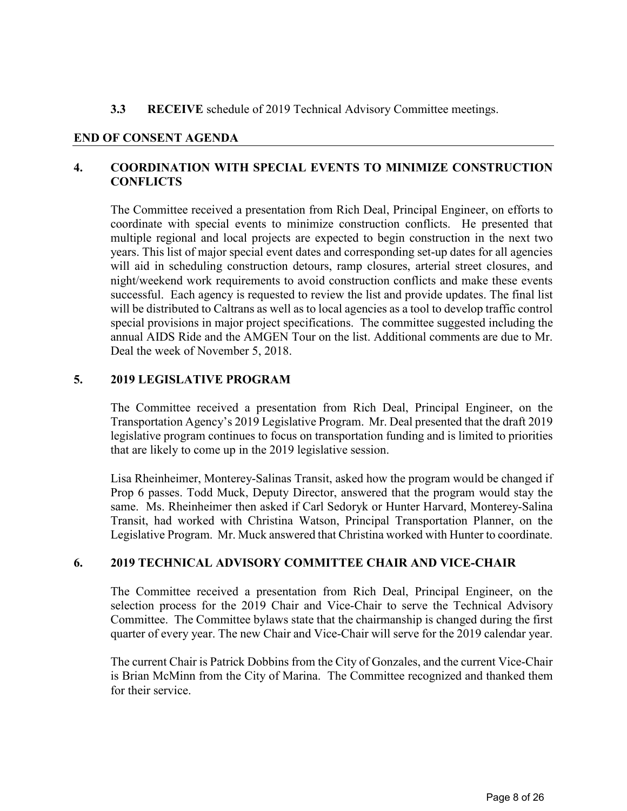### **3.3 RECEIVE** schedule of 2019 Technical Advisory Committee meetings.

#### **END OF CONSENT AGENDA**

### **4. COORDINATION WITH SPECIAL EVENTS TO MINIMIZE CONSTRUCTION CONFLICTS**

The Committee received a presentation from Rich Deal, Principal Engineer, on efforts to coordinate with special events to minimize construction conflicts. He presented that multiple regional and local projects are expected to begin construction in the next two years. This list of major special event dates and corresponding set-up dates for all agencies will aid in scheduling construction detours, ramp closures, arterial street closures, and night/weekend work requirements to avoid construction conflicts and make these events successful. Each agency is requested to review the list and provide updates. The final list will be distributed to Caltrans as well as to local agencies as a tool to develop traffic control special provisions in major project specifications. The committee suggested including the annual AIDS Ride and the AMGEN Tour on the list. Additional comments are due to Mr. Deal the week of November 5, 2018.

### **5. 2019 LEGISLATIVE PROGRAM**

The Committee received a presentation from Rich Deal, Principal Engineer, on the Transportation Agency's 2019 Legislative Program. Mr. Deal presented that the draft 2019 legislative program continues to focus on transportation funding and is limited to priorities that are likely to come up in the 2019 legislative session.

Lisa Rheinheimer, Monterey-Salinas Transit, asked how the program would be changed if Prop 6 passes. Todd Muck, Deputy Director, answered that the program would stay the same. Ms. Rheinheimer then asked if Carl Sedoryk or Hunter Harvard, Monterey-Salina Transit, had worked with Christina Watson, Principal Transportation Planner, on the Legislative Program. Mr. Muck answered that Christina worked with Hunter to coordinate.

### **6. 2019 TECHNICAL ADVISORY COMMITTEE CHAIR AND VICE-CHAIR**

The Committee received a presentation from Rich Deal, Principal Engineer, on the selection process for the 2019 Chair and Vice-Chair to serve the Technical Advisory Committee. The Committee bylaws state that the chairmanship is changed during the first quarter of every year. The new Chair and Vice-Chair will serve for the 2019 calendar year.

The current Chair is Patrick Dobbins from the City of Gonzales, and the current Vice-Chair is Brian McMinn from the City of Marina. The Committee recognized and thanked them for their service.